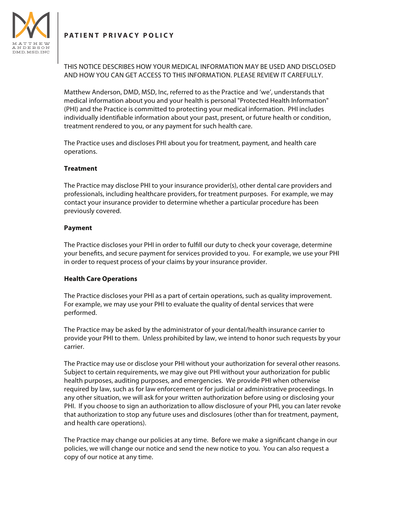# **PATIENT PRIVACY POLICY**



THIS NOTICE DESCRIBES HOW YOUR MEDICAL INFORMATION MAY BE USED AND DISCLOSED AND HOW YOU CAN GET ACCESS TO THIS INFORMATION. PLEASE REVIEW IT CAREFULLY.

Matthew Anderson, DMD, MSD, Inc, referred to as the Practice and 'we', understands that medical information about you and your health is personal "Protected Health Information" (PHI) and the Practice is committed to protecting your medical information. PHI includes individually identifable information about your past, present, or future health or condition, treatment rendered to you, or any payment for such health care.

The Practice uses and discloses PHI about you for treatment, payment, and health care operations.

## **Treatment**

The Practice may disclose PHI to your insurance provider(s), other dental care providers and professionals, including healthcare providers, for treatment purposes. For example, we may contact your insurance provider to determine whether a particular procedure has been previously covered.

## **Payment**

The Practice discloses your PHI in order to fulfll our duty to check your coverage, determine your benefts, and secure payment for services provided to you. For example, we use your PHI in order to request process of your claims by your insurance provider.

#### **Health Care Operations**

The Practice discloses your PHI as a part of certain operations, such as quality improvement. For example, we may use your PHI to evaluate the quality of dental services that were performed.

The Practice may be asked by the administrator of your dental/health insurance carrier to provide your PHI to them. Unless prohibited by law, we intend to honor such requests by your carrier.

The Practice may use or disclose your PHI without your authorization for several other reasons. Subject to certain requirements, we may give out PHI without your authorization for public health purposes, auditing purposes, and emergencies. We provide PHI when otherwise required by law, such as for law enforcement or for judicial or administrative proceedings. In any other situation, we will ask for your written authorization before using or disclosing your PHI. If you choose to sign an authorization to allow disclosure of your PHI, you can later revoke that authorization to stop any future uses and disclosures (other than for treatment, payment, and health care operations).

The Practice may change our policies at any time. Before we make a signifcant change in our policies, we will change our notice and send the new notice to you. You can also request a copy of our notice at any time.